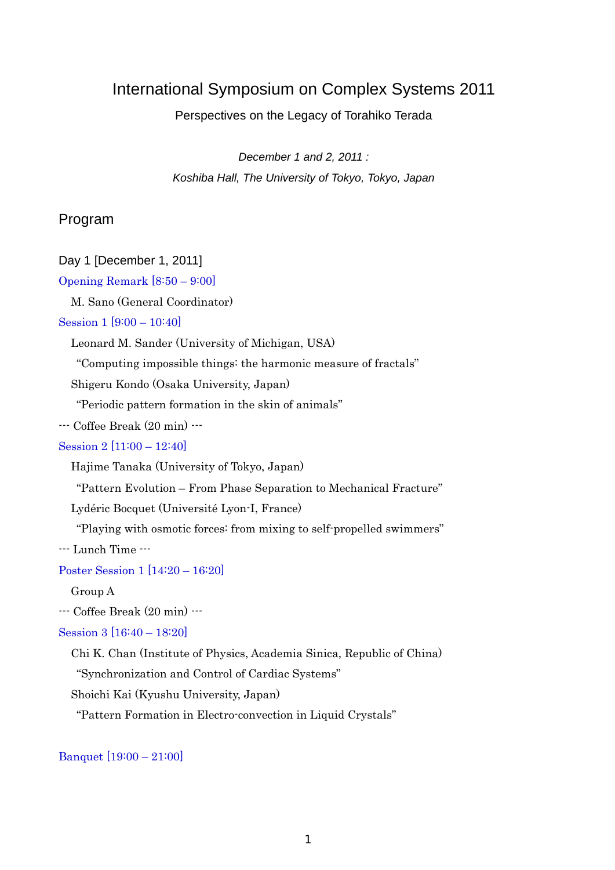## International Symposium on Complex Systems 2011

Perspectives on the Legacy of Torahiko Terada

*December 1 and 2, 2011 : Koshiba Hall, The University of Tokyo, Tokyo, Japan* 

### Program

#### Day 1 [December 1, 2011]

Opening Remark [8:50 – 9:00]

M. Sano (General Coordinator)

#### Session 1 [9:00 – 10:40]

Leonard M. Sander (University of Michigan, USA)

"Computing impossible things: the harmonic measure of fractals"

Shigeru Kondo (Osaka University, Japan)

"Periodic pattern formation in the skin of animals"

--- Coffee Break (20 min) ---

#### Session 2 [11:00 – 12:40]

Hajime Tanaka (University of Tokyo, Japan)

"Pattern Evolution – From Phase Separation to Mechanical Fracture"

Lydéric Bocquet (Université Lyon-I, France)

"Playing with osmotic forces: from mixing to self-propelled swimmers"

--- Lunch Time ---

Poster Session 1 [14:20 – 16:20]

Group A

--- Coffee Break (20 min) ---

Session 3 [16:40 – 18:20]

Chi K. Chan (Institute of Physics, Academia Sinica, Republic of China)

"Synchronization and Control of Cardiac Systems"

Shoichi Kai (Kyushu University, Japan)

"Pattern Formation in Electro-convection in Liquid Crystals"

Banquet [19:00 – 21:00]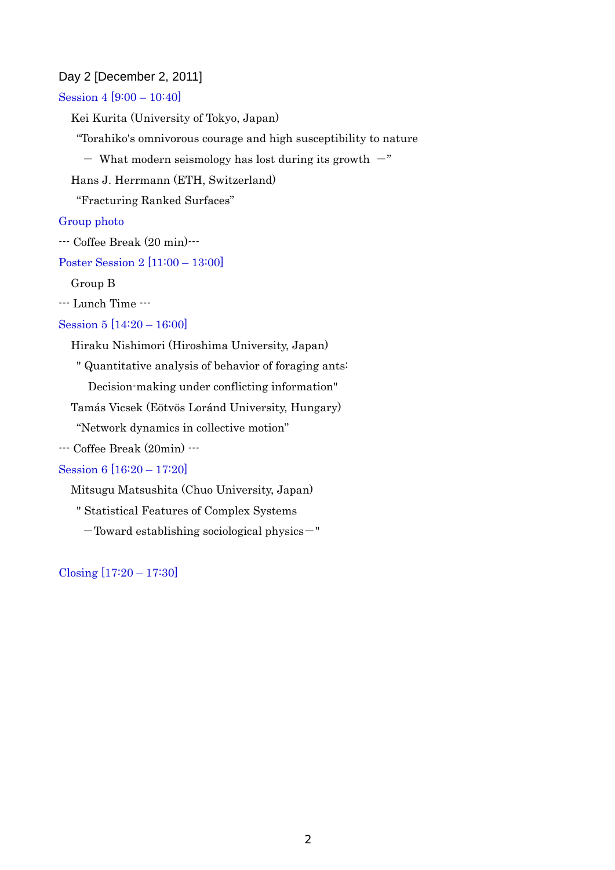#### Day 2 [December 2, 2011]

Session 4 [9:00 – 10:40]

Kei Kurita (University of Tokyo, Japan)

"Torahiko's omnivorous courage and high susceptibility to nature

- What modern seismology has lost during its growth  $-$ "

Hans J. Herrmann (ETH, Switzerland)

"Fracturing Ranked Surfaces"

#### Group photo

--- Coffee Break (20 min)---

Poster Session 2 [11:00 – 13:00]

Group B

--- Lunch Time ---

#### Session 5 [14:20 – 16:00]

Hiraku Nishimori (Hiroshima University, Japan)

" Quantitative analysis of behavior of foraging ants:

Decision-making under conflicting information"

Tamás Vicsek (Eötvös Loránd University, Hungary)

"Network dynamics in collective motion"

--- Coffee Break (20min) ---

#### Session 6 [16:20 – 17:20]

Mitsugu Matsushita (Chuo University, Japan)

" Statistical Features of Complex Systems

-Toward establishing sociological physics-"

Closing [17:20 – 17:30]